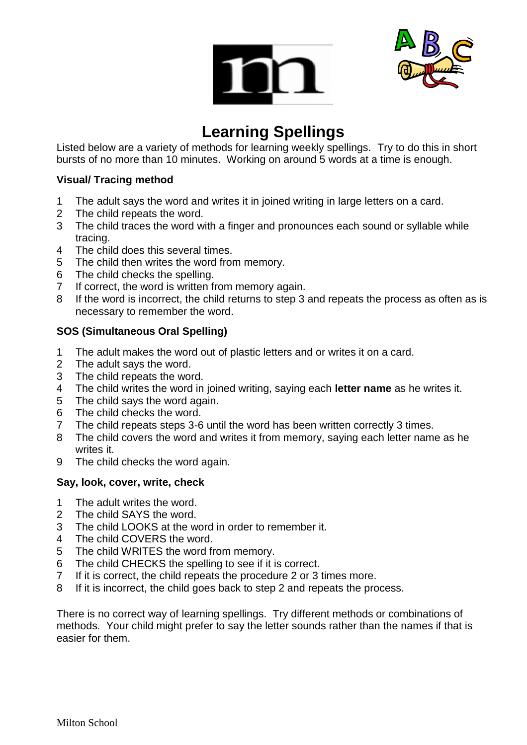



## **Learning Spellings**

Listed below are a variety of methods for learning weekly spellings. Try to do this in short bursts of no more than 10 minutes. Working on around 5 words at a time is enough.

## **Visual/ Tracing method**

- The adult says the word and writes it in joined writing in large letters on a card.
- The child repeats the word.
- The child traces the word with a finger and pronounces each sound or syllable while tracing.
- The child does this several times.
- The child then writes the word from memory.
- The child checks the spelling.
- If correct, the word is written from memory again.
- If the word is incorrect, the child returns to step 3 and repeats the process as often as is necessary to remember the word.

## **SOS (Simultaneous Oral Spelling)**

- The adult makes the word out of plastic letters and or writes it on a card.
- The adult says the word.
- The child repeats the word.
- The child writes the word in joined writing, saying each **letter name** as he writes it.
- The child says the word again.
- The child checks the word.
- The child repeats steps 3-6 until the word has been written correctly 3 times.
- The child covers the word and writes it from memory, saying each letter name as he writes it.
- The child checks the word again.

## **Say, look, cover, write, check**

- The adult writes the word.
- The child SAYS the word.
- The child LOOKS at the word in order to remember it.
- The child COVERS the word.
- The child WRITES the word from memory.
- The child CHECKS the spelling to see if it is correct.
- If it is correct, the child repeats the procedure 2 or 3 times more.
- If it is incorrect, the child goes back to step 2 and repeats the process.

There is no correct way of learning spellings. Try different methods or combinations of methods. Your child might prefer to say the letter sounds rather than the names if that is easier for them.